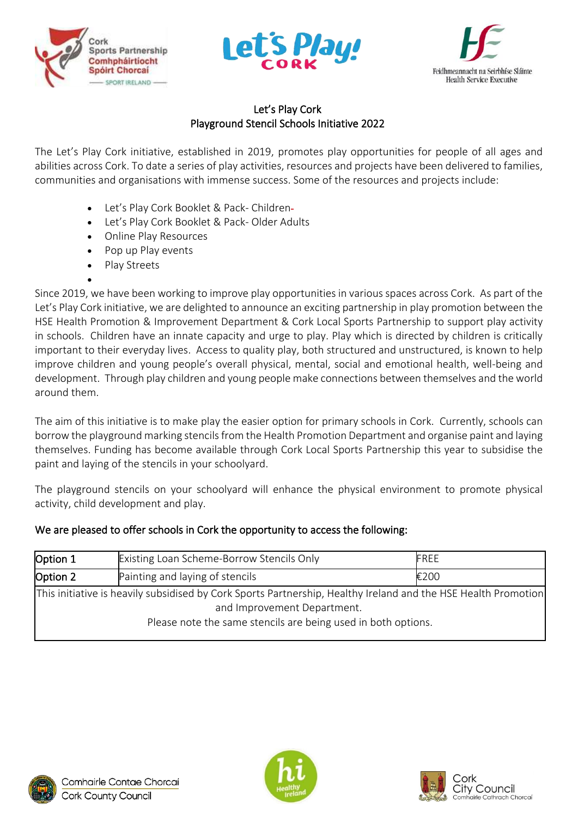





## Let's Play Cork Playground Stencil Schools Initiative 2022

The Let's Play Cork initiative, established in 2019, promotes play opportunities for people of all ages and abilities across Cork. To date a series of play activities, resources and projects have been delivered to families, communities and organisations with immense success. Some of the resources and projects include:

- Let's Play Cork Booklet & Pack- Children
- Let's Play Cork Booklet & Pack- Older Adults
- Online Play Resources
- Pop up Play events
- Play Streets

•

Since 2019, we have been working to improve play opportunities in various spaces across Cork.  As part of the Let's Play Cork initiative, we are delighted to announce an exciting partnership in play promotion between the HSE Health Promotion & Improvement Department & Cork Local Sports Partnership to support play activity in schools.  Children have an innate capacity and urge to play. Play which is directed by children is critically important to their everyday lives.  Access to quality play, both structured and unstructured, is known to help improve children and young people's overall physical, mental, social and emotional health, well-being and development.  Through play children and young people make connections between themselves and the world around them. 

The aim of this initiative is to make play the easier option for primary schools in Cork. Currently, schools can borrow the playground marking stencils from the Health Promotion Department and organise paint and laying themselves. Funding has become available through Cork Local Sports Partnership this year to subsidise the paint and laying of the stencils in your schoolyard.

The playground stencils on your schoolyard will enhance the physical environment to promote physical activity, child development and play.

## We are pleased to offer schools in Cork the opportunity to access the following:

| Option 1                                                                                                       | <b>Existing Loan Scheme-Borrow Stencils Only</b> | FREE |  |  |  |  |
|----------------------------------------------------------------------------------------------------------------|--------------------------------------------------|------|--|--|--|--|
| Option 2                                                                                                       | Painting and laying of stencils                  | €200 |  |  |  |  |
| This initiative is heavily subsidised by Cork Sports Partnership, Healthy Ireland and the HSE Health Promotion |                                                  |      |  |  |  |  |
| and Improvement Department.                                                                                    |                                                  |      |  |  |  |  |
| Please note the same stencils are being used in both options.                                                  |                                                  |      |  |  |  |  |